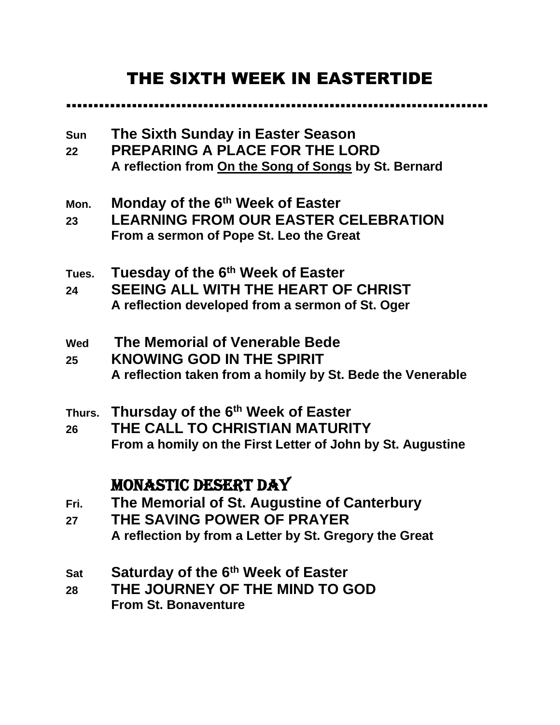# THE SIXTH WEEK IN EASTERTIDE

..…………………………………………………………………

**Sun The Sixth Sunday in Easter Season 22 PREPARING A PLACE FOR THE LORD A reflection from On the Song of Songs by St. Bernard Mon. Monday of the 6th Week of Easter 23 LEARNING FROM OUR EASTER CELEBRATION From a sermon of Pope St. Leo the Great Tues. Tuesday of the 6th Week of Easter 24 SEEING ALL WITH THE HEART OF CHRIST A reflection developed from a sermon of St. Oger Wed The Memorial of Venerable Bede 25 KNOWING GOD IN THE SPIRIT A reflection taken from a homily by St. Bede the Venerable Thurs. Thursday of the 6th Week of Easter 26 THE CALL TO CHRISTIAN MATURITY From a homily on the First Letter of John by St. Augustine** MONASTIC DESERT DAY **Fri. The Memorial of St. Augustine of Canterbury 27 THE SAVING POWER OF PRAYER A reflection by from a Letter by St. Gregory the Great Sat Saturday of the 6th Week of Easter**

**28 THE JOURNEY OF THE MIND TO GOD From St. Bonaventure**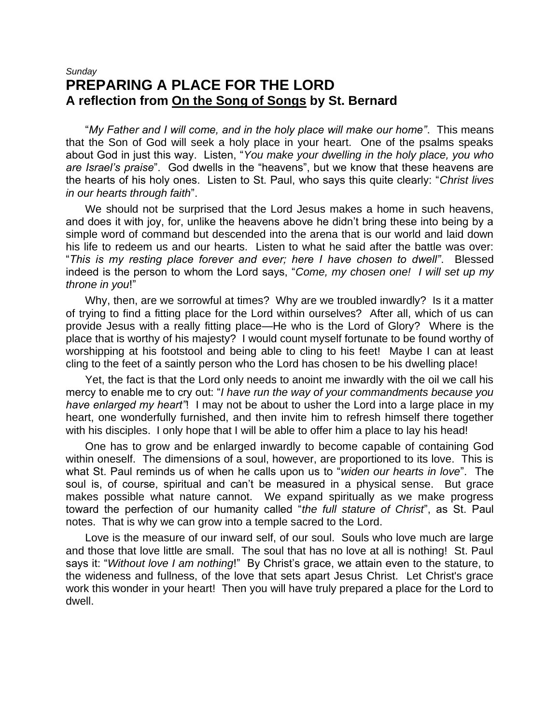## *Sunday* **PREPARING A PLACE FOR THE LORD A reflection from On the Song of Songs by St. Bernard**

"*My Father and I will come, and in the holy place will make our home"*. This means that the Son of God will seek a holy place in your heart. One of the psalms speaks about God in just this way. Listen, "*You make your dwelling in the holy place, you who are Israel's praise*". God dwells in the "heavens", but we know that these heavens are the hearts of his holy ones. Listen to St. Paul, who says this quite clearly: "*Christ lives in our hearts through faith*".

We should not be surprised that the Lord Jesus makes a home in such heavens, and does it with joy, for, unlike the heavens above he didn't bring these into being by a simple word of command but descended into the arena that is our world and laid down his life to redeem us and our hearts. Listen to what he said after the battle was over: "*This is my resting place forever and ever; here I have chosen to dwell"*. Blessed indeed is the person to whom the Lord says, "*Come, my chosen one! I will set up my throne in you*!"

Why, then, are we sorrowful at times? Why are we troubled inwardly? Is it a matter of trying to find a fitting place for the Lord within ourselves? After all, which of us can provide Jesus with a really fitting place—He who is the Lord of Glory? Where is the place that is worthy of his majesty? I would count myself fortunate to be found worthy of worshipping at his footstool and being able to cling to his feet! Maybe I can at least cling to the feet of a saintly person who the Lord has chosen to be his dwelling place!

Yet, the fact is that the Lord only needs to anoint me inwardly with the oil we call his mercy to enable me to cry out: "*I have run the way of your commandments because you have enlarged my heart"*! I may not be about to usher the Lord into a large place in my heart, one wonderfully furnished, and then invite him to refresh himself there together with his disciples. I only hope that I will be able to offer him a place to lay his head!

One has to grow and be enlarged inwardly to become capable of containing God within oneself. The dimensions of a soul, however, are proportioned to its love. This is what St. Paul reminds us of when he calls upon us to "*widen our hearts in love*". The soul is, of course, spiritual and can't be measured in a physical sense. But grace makes possible what nature cannot. We expand spiritually as we make progress toward the perfection of our humanity called "*the full stature of Christ*", as St. Paul notes. That is why we can grow into a temple sacred to the Lord.

Love is the measure of our inward self, of our soul. Souls who love much are large and those that love little are small. The soul that has no love at all is nothing! St. Paul says it: "*Without love I am nothing*!" By Christ's grace, we attain even to the stature, to the wideness and fullness, of the love that sets apart Jesus Christ. Let Christ's grace work this wonder in your heart! Then you will have truly prepared a place for the Lord to dwell.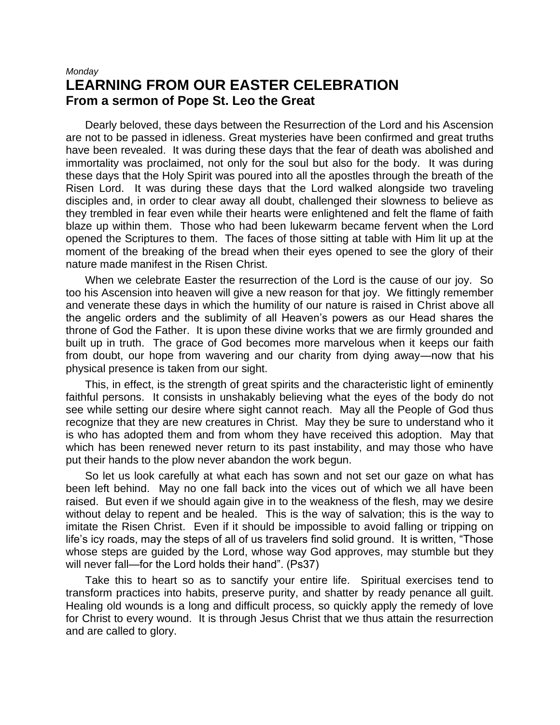#### *Monday* **LEARNING FROM OUR EASTER CELEBRATION From a sermon of Pope St. Leo the Great**

Dearly beloved, these days between the Resurrection of the Lord and his Ascension are not to be passed in idleness. Great mysteries have been confirmed and great truths have been revealed. It was during these days that the fear of death was abolished and immortality was proclaimed, not only for the soul but also for the body. It was during these days that the Holy Spirit was poured into all the apostles through the breath of the Risen Lord. It was during these days that the Lord walked alongside two traveling disciples and, in order to clear away all doubt, challenged their slowness to believe as they trembled in fear even while their hearts were enlightened and felt the flame of faith blaze up within them. Those who had been lukewarm became fervent when the Lord opened the Scriptures to them. The faces of those sitting at table with Him lit up at the moment of the breaking of the bread when their eyes opened to see the glory of their nature made manifest in the Risen Christ.

When we celebrate Easter the resurrection of the Lord is the cause of our joy. So too his Ascension into heaven will give a new reason for that joy. We fittingly remember and venerate these days in which the humility of our nature is raised in Christ above all the angelic orders and the sublimity of all Heaven's powers as our Head shares the throne of God the Father. It is upon these divine works that we are firmly grounded and built up in truth. The grace of God becomes more marvelous when it keeps our faith from doubt, our hope from wavering and our charity from dying away—now that his physical presence is taken from our sight.

This, in effect, is the strength of great spirits and the characteristic light of eminently faithful persons. It consists in unshakably believing what the eyes of the body do not see while setting our desire where sight cannot reach. May all the People of God thus recognize that they are new creatures in Christ. May they be sure to understand who it is who has adopted them and from whom they have received this adoption. May that which has been renewed never return to its past instability, and may those who have put their hands to the plow never abandon the work begun.

So let us look carefully at what each has sown and not set our gaze on what has been left behind. May no one fall back into the vices out of which we all have been raised. But even if we should again give in to the weakness of the flesh, may we desire without delay to repent and be healed. This is the way of salvation; this is the way to imitate the Risen Christ. Even if it should be impossible to avoid falling or tripping on life's icy roads, may the steps of all of us travelers find solid ground. It is written, "Those whose steps are guided by the Lord, whose way God approves, may stumble but they will never fall—for the Lord holds their hand". (Ps37)

Take this to heart so as to sanctify your entire life. Spiritual exercises tend to transform practices into habits, preserve purity, and shatter by ready penance all guilt. Healing old wounds is a long and difficult process, so quickly apply the remedy of love for Christ to every wound. It is through Jesus Christ that we thus attain the resurrection and are called to glory.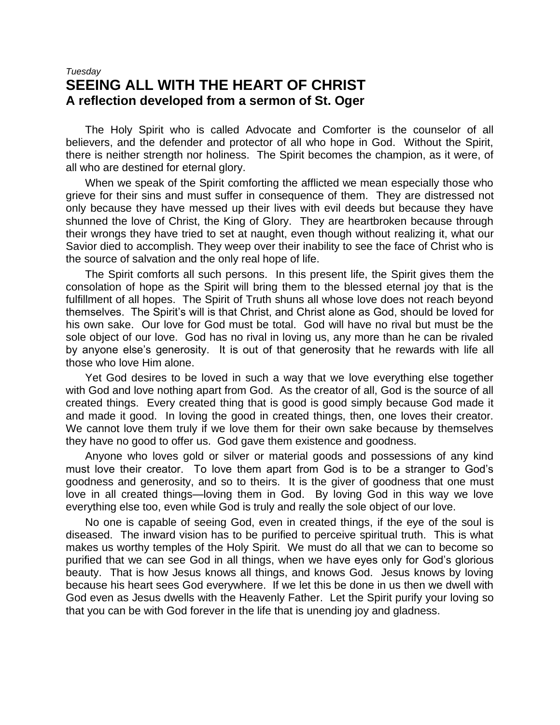## *Tuesday* **SEEING ALL WITH THE HEART OF CHRIST A reflection developed from a sermon of St. Oger**

The Holy Spirit who is called Advocate and Comforter is the counselor of all believers, and the defender and protector of all who hope in God. Without the Spirit, there is neither strength nor holiness. The Spirit becomes the champion, as it were, of all who are destined for eternal glory.

When we speak of the Spirit comforting the afflicted we mean especially those who grieve for their sins and must suffer in consequence of them. They are distressed not only because they have messed up their lives with evil deeds but because they have shunned the love of Christ, the King of Glory. They are heartbroken because through their wrongs they have tried to set at naught, even though without realizing it, what our Savior died to accomplish. They weep over their inability to see the face of Christ who is the source of salvation and the only real hope of life.

The Spirit comforts all such persons. In this present life, the Spirit gives them the consolation of hope as the Spirit will bring them to the blessed eternal joy that is the fulfillment of all hopes. The Spirit of Truth shuns all whose love does not reach beyond themselves. The Spirit's will is that Christ, and Christ alone as God, should be loved for his own sake. Our love for God must be total. God will have no rival but must be the sole object of our love. God has no rival in loving us, any more than he can be rivaled by anyone else's generosity. It is out of that generosity that he rewards with life all those who love Him alone.

Yet God desires to be loved in such a way that we love everything else together with God and love nothing apart from God. As the creator of all, God is the source of all created things. Every created thing that is good is good simply because God made it and made it good. In loving the good in created things, then, one loves their creator. We cannot love them truly if we love them for their own sake because by themselves they have no good to offer us. God gave them existence and goodness.

Anyone who loves gold or silver or material goods and possessions of any kind must love their creator. To love them apart from God is to be a stranger to God's goodness and generosity, and so to theirs. It is the giver of goodness that one must love in all created things—loving them in God. By loving God in this way we love everything else too, even while God is truly and really the sole object of our love.

No one is capable of seeing God, even in created things, if the eye of the soul is diseased. The inward vision has to be purified to perceive spiritual truth. This is what makes us worthy temples of the Holy Spirit. We must do all that we can to become so purified that we can see God in all things, when we have eyes only for God's glorious beauty. That is how Jesus knows all things, and knows God. Jesus knows by loving because his heart sees God everywhere. If we let this be done in us then we dwell with God even as Jesus dwells with the Heavenly Father. Let the Spirit purify your loving so that you can be with God forever in the life that is unending joy and gladness.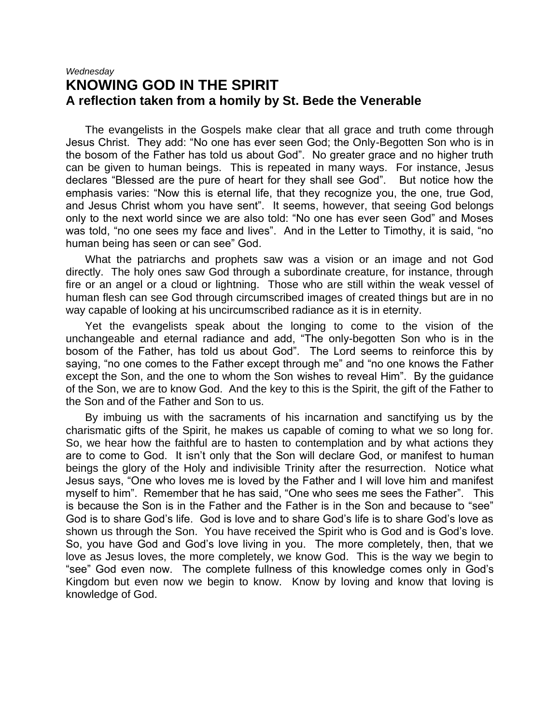#### *Wednesday* **KNOWING GOD IN THE SPIRIT A reflection taken from a homily by St. Bede the Venerable**

The evangelists in the Gospels make clear that all grace and truth come through Jesus Christ. They add: "No one has ever seen God; the Only-Begotten Son who is in the bosom of the Father has told us about God". No greater grace and no higher truth can be given to human beings. This is repeated in many ways. For instance, Jesus declares "Blessed are the pure of heart for they shall see God". But notice how the emphasis varies: "Now this is eternal life, that they recognize you, the one, true God, and Jesus Christ whom you have sent". It seems, however, that seeing God belongs only to the next world since we are also told: "No one has ever seen God" and Moses was told, "no one sees my face and lives". And in the Letter to Timothy, it is said, "no human being has seen or can see" God.

What the patriarchs and prophets saw was a vision or an image and not God directly. The holy ones saw God through a subordinate creature, for instance, through fire or an angel or a cloud or lightning. Those who are still within the weak vessel of human flesh can see God through circumscribed images of created things but are in no way capable of looking at his uncircumscribed radiance as it is in eternity.

Yet the evangelists speak about the longing to come to the vision of the unchangeable and eternal radiance and add, "The only-begotten Son who is in the bosom of the Father, has told us about God". The Lord seems to reinforce this by saying, "no one comes to the Father except through me" and "no one knows the Father except the Son, and the one to whom the Son wishes to reveal Him". By the guidance of the Son, we are to know God. And the key to this is the Spirit, the gift of the Father to the Son and of the Father and Son to us.

By imbuing us with the sacraments of his incarnation and sanctifying us by the charismatic gifts of the Spirit, he makes us capable of coming to what we so long for. So, we hear how the faithful are to hasten to contemplation and by what actions they are to come to God. It isn't only that the Son will declare God, or manifest to human beings the glory of the Holy and indivisible Trinity after the resurrection. Notice what Jesus says, "One who loves me is loved by the Father and I will love him and manifest myself to him". Remember that he has said, "One who sees me sees the Father". This is because the Son is in the Father and the Father is in the Son and because to "see" God is to share God's life. God is love and to share God's life is to share God's love as shown us through the Son. You have received the Spirit who is God and is God's love. So, you have God and God's love living in you. The more completely, then, that we love as Jesus loves, the more completely, we know God. This is the way we begin to "see" God even now. The complete fullness of this knowledge comes only in God's Kingdom but even now we begin to know. Know by loving and know that loving is knowledge of God.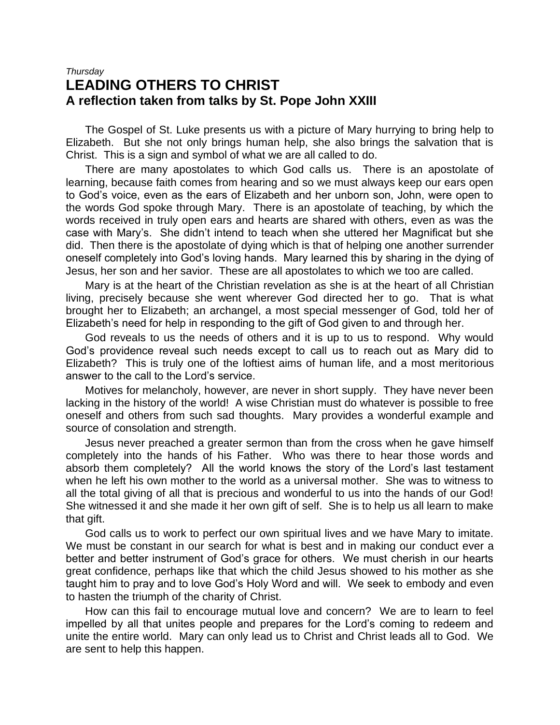#### *Thursday* **LEADING OTHERS TO CHRIST A reflection taken from talks by St. Pope John XXIII**

The Gospel of St. Luke presents us with a picture of Mary hurrying to bring help to Elizabeth. But she not only brings human help, she also brings the salvation that is Christ. This is a sign and symbol of what we are all called to do.

There are many apostolates to which God calls us. There is an apostolate of learning, because faith comes from hearing and so we must always keep our ears open to God's voice, even as the ears of Elizabeth and her unborn son, John, were open to the words God spoke through Mary. There is an apostolate of teaching, by which the words received in truly open ears and hearts are shared with others, even as was the case with Mary's. She didn't intend to teach when she uttered her Magnificat but she did. Then there is the apostolate of dying which is that of helping one another surrender oneself completely into God's loving hands. Mary learned this by sharing in the dying of Jesus, her son and her savior. These are all apostolates to which we too are called.

Mary is at the heart of the Christian revelation as she is at the heart of all Christian living, precisely because she went wherever God directed her to go. That is what brought her to Elizabeth; an archangel, a most special messenger of God, told her of Elizabeth's need for help in responding to the gift of God given to and through her.

God reveals to us the needs of others and it is up to us to respond. Why would God's providence reveal such needs except to call us to reach out as Mary did to Elizabeth? This is truly one of the loftiest aims of human life, and a most meritorious answer to the call to the Lord's service.

Motives for melancholy, however, are never in short supply. They have never been lacking in the history of the world! A wise Christian must do whatever is possible to free oneself and others from such sad thoughts. Mary provides a wonderful example and source of consolation and strength.

Jesus never preached a greater sermon than from the cross when he gave himself completely into the hands of his Father. Who was there to hear those words and absorb them completely? All the world knows the story of the Lord's last testament when he left his own mother to the world as a universal mother. She was to witness to all the total giving of all that is precious and wonderful to us into the hands of our God! She witnessed it and she made it her own gift of self. She is to help us all learn to make that gift.

God calls us to work to perfect our own spiritual lives and we have Mary to imitate. We must be constant in our search for what is best and in making our conduct ever a better and better instrument of God's grace for others. We must cherish in our hearts great confidence, perhaps like that which the child Jesus showed to his mother as she taught him to pray and to love God's Holy Word and will. We seek to embody and even to hasten the triumph of the charity of Christ.

How can this fail to encourage mutual love and concern? We are to learn to feel impelled by all that unites people and prepares for the Lord's coming to redeem and unite the entire world. Mary can only lead us to Christ and Christ leads all to God. We are sent to help this happen.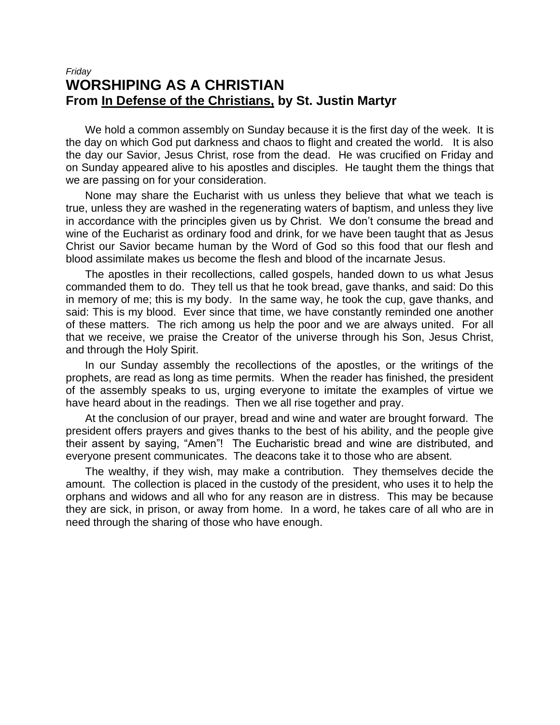## *Friday* **WORSHIPING AS A CHRISTIAN From In Defense of the Christians, by St. Justin Martyr**

We hold a common assembly on Sunday because it is the first day of the week. It is the day on which God put darkness and chaos to flight and created the world. It is also the day our Savior, Jesus Christ, rose from the dead. He was crucified on Friday and on Sunday appeared alive to his apostles and disciples. He taught them the things that we are passing on for your consideration.

None may share the Eucharist with us unless they believe that what we teach is true, unless they are washed in the regenerating waters of baptism, and unless they live in accordance with the principles given us by Christ. We don't consume the bread and wine of the Eucharist as ordinary food and drink, for we have been taught that as Jesus Christ our Savior became human by the Word of God so this food that our flesh and blood assimilate makes us become the flesh and blood of the incarnate Jesus.

The apostles in their recollections, called gospels, handed down to us what Jesus commanded them to do. They tell us that he took bread, gave thanks, and said: Do this in memory of me; this is my body. In the same way, he took the cup, gave thanks, and said: This is my blood. Ever since that time, we have constantly reminded one another of these matters. The rich among us help the poor and we are always united. For all that we receive, we praise the Creator of the universe through his Son, Jesus Christ, and through the Holy Spirit.

In our Sunday assembly the recollections of the apostles, or the writings of the prophets, are read as long as time permits. When the reader has finished, the president of the assembly speaks to us, urging everyone to imitate the examples of virtue we have heard about in the readings. Then we all rise together and pray.

At the conclusion of our prayer, bread and wine and water are brought forward. The president offers prayers and gives thanks to the best of his ability, and the people give their assent by saying, "Amen"! The Eucharistic bread and wine are distributed, and everyone present communicates. The deacons take it to those who are absent.

The wealthy, if they wish, may make a contribution. They themselves decide the amount. The collection is placed in the custody of the president, who uses it to help the orphans and widows and all who for any reason are in distress. This may be because they are sick, in prison, or away from home. In a word, he takes care of all who are in need through the sharing of those who have enough.